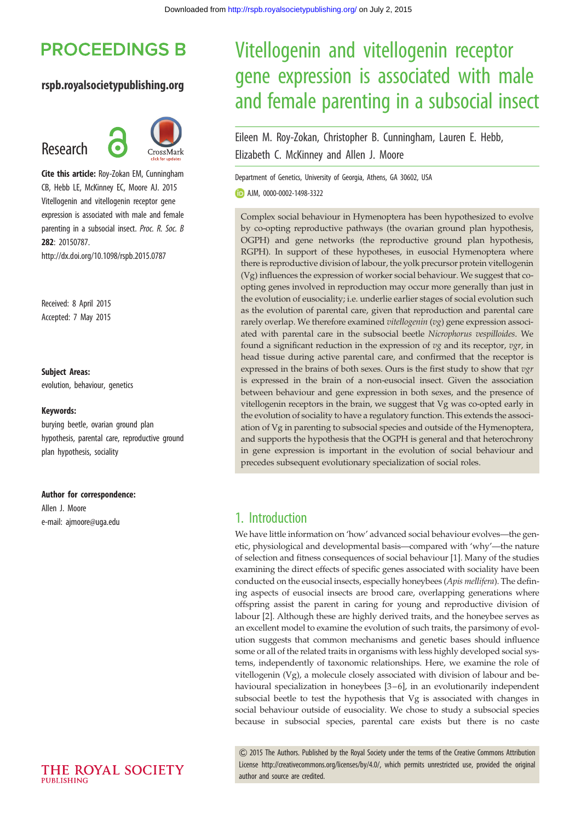# **PROCEEDINGS B**

### rspb.royalsocietypublishing.org

# Research



Cite this article: Roy-Zokan EM, Cunningham CB, Hebb LE, McKinney EC, Moore AJ. 2015 Vitellogenin and vitellogenin receptor gene expression is associated with male and female parenting in a subsocial insect. Proc. R. Soc. B 282: 20150787. http://dx.doi.org/10.1098/rspb.2015.0787

Received: 8 April 2015 Accepted: 7 May 2015

#### Subject Areas:

evolution, behaviour, genetics

#### Keywords:

burying beetle, ovarian ground plan hypothesis, parental care, reproductive ground plan hypothesis, sociality

#### Author for correspondence:

Allen J. Moore e-mail: [ajmoore@uga.edu](mailto:ajmoore@uga.edu)

# Vitellogenin and vitellogenin receptor gene expression is associated with male and female parenting in a subsocial insect

Eileen M. Roy-Zokan, Christopher B. Cunningham, Lauren E. Hebb, Elizabeth C. McKinney and Allen J. Moore

Department of Genetics, University of Georgia, Athens, GA 30602, USA

**D** AJM, [0000-0002-1498-3322](http://orcid.org/0000-0002-1498-3322)

Complex social behaviour in Hymenoptera has been hypothesized to evolve by co-opting reproductive pathways (the ovarian ground plan hypothesis, OGPH) and gene networks (the reproductive ground plan hypothesis, RGPH). In support of these hypotheses, in eusocial Hymenoptera where there is reproductive division of labour, the yolk precursor protein vitellogenin (Vg) influences the expression of worker social behaviour. We suggest that coopting genes involved in reproduction may occur more generally than just in the evolution of eusociality; i.e. underlie earlier stages of social evolution such as the evolution of parental care, given that reproduction and parental care rarely overlap. We therefore examined vitellogenin (vg) gene expression associated with parental care in the subsocial beetle Nicrophorus vespilloides. We found a significant reduction in the expression of  $vg$  and its receptor,  $vgr$ , in head tissue during active parental care, and confirmed that the receptor is expressed in the brains of both sexes. Ours is the first study to show that vgr is expressed in the brain of a non-eusocial insect. Given the association between behaviour and gene expression in both sexes, and the presence of vitellogenin receptors in the brain, we suggest that Vg was co-opted early in the evolution of sociality to have a regulatory function. This extends the association of Vg in parenting to subsocial species and outside of the Hymenoptera, and supports the hypothesis that the OGPH is general and that heterochrony in gene expression is important in the evolution of social behaviour and precedes subsequent evolutionary specialization of social roles.

# 1. Introduction

We have little information on 'how' advanced social behaviour evolves—the genetic, physiological and developmental basis—compared with 'why'—the nature of selection and fitness consequences of social behaviour [[1](#page-7-0)]. Many of the studies examining the direct effects of specific genes associated with sociality have been conducted on the eusocial insects, especially honeybees (Apis mellifera). The defining aspects of eusocial insects are brood care, overlapping generations where offspring assist the parent in caring for young and reproductive division of labour [[2](#page-7-0)]. Although these are highly derived traits, and the honeybee serves as an excellent model to examine the evolution of such traits, the parsimony of evolution suggests that common mechanisms and genetic bases should influence some or all of the related traits in organisms with less highly developed social systems, independently of taxonomic relationships. Here, we examine the role of vitellogenin (Vg), a molecule closely associated with division of labour and behavioural specialization in honeybees [[3](#page-7-0)–[6](#page-7-0)], in an evolutionarily independent subsocial beetle to test the hypothesis that Vg is associated with changes in social behaviour outside of eusociality. We chose to study a subsocial species because in subsocial species, parental care exists but there is no caste

& 2015 The Authors. Published by the Royal Society under the terms of the Creative Commons Attribution License http://creativecommons.org/licenses/by/4.0/, which permits unrestricted use, provided the original author and source are credited.

THE ROYAL SOCIETY PURLISHING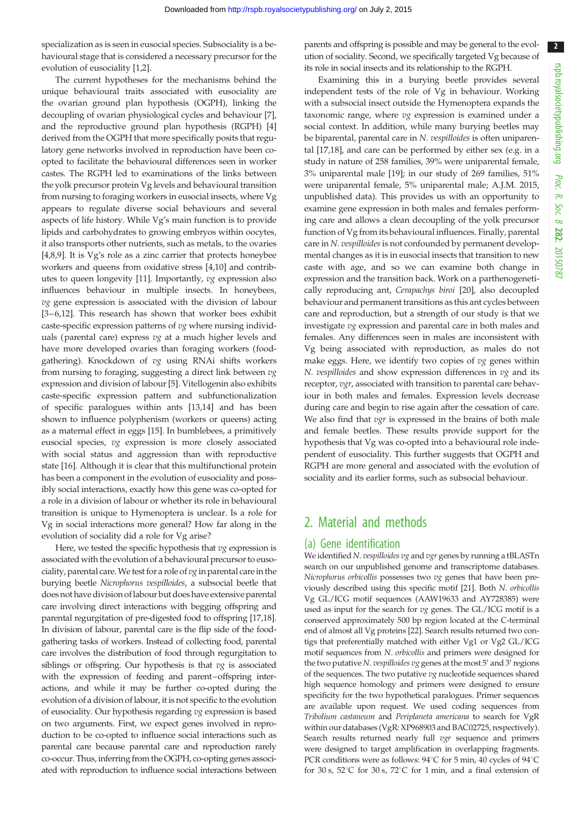specialization as is seen in eusocial species. Subsociality is a behavioural stage that is considered a necessary precursor for the evolution of eusociality [\[1](#page-7-0),[2](#page-7-0)].

The current hypotheses for the mechanisms behind the unique behavioural traits associated with eusociality are the ovarian ground plan hypothesis (OGPH), linking the decoupling of ovarian physiological cycles and behaviour [[7](#page-7-0)], and the reproductive ground plan hypothesis (RGPH) [\[4\]](#page-7-0) derived from the OGPH that more specifically posits that regulatory gene networks involved in reproduction have been coopted to facilitate the behavioural differences seen in worker castes. The RGPH led to examinations of the links between the yolk precursor protein Vg levels and behavioural transition from nursing to foraging workers in eusocial insects, where Vg appears to regulate diverse social behaviours and several aspects of life history. While Vg's main function is to provide lipids and carbohydrates to growing embryos within oocytes, it also transports other nutrients, such as metals, to the ovaries [\[4,8](#page-7-0),[9](#page-7-0)]. It is Vg's role as a zinc carrier that protects honeybee workers and queens from oxidative stress [[4,10](#page-7-0)] and contributes to queen longevity [\[11](#page-7-0)]. Importantly, vg expression also influences behaviour in multiple insects. In honeybees, vg gene expression is associated with the division of labour [\[3](#page-7-0)–[6,12\]](#page-7-0). This research has shown that worker bees exhibit caste-specific expression patterns of  $v_{\mathcal{R}}$  where nursing individuals (parental care) express  $v\mathfrak{g}$  at a much higher levels and have more developed ovaries than foraging workers (foodgathering). Knockdown of vg using RNAi shifts workers from nursing to foraging, suggesting a direct link between  $v$ g expression and division of labour [\[5\]](#page-7-0). Vitellogenin also exhibits caste-specific expression pattern and subfunctionalization of specific paralogues within ants [\[13,14](#page-7-0)] and has been shown to influence polyphenism (workers or queens) acting as a maternal effect in eggs [\[15](#page-7-0)]. In bumblebees, a primitively eusocial species, vg expression is more closely associated with social status and aggression than with reproductive state [\[16](#page-7-0)]. Although it is clear that this multifunctional protein has been a component in the evolution of eusociality and possibly social interactions, exactly how this gene was co-opted for a role in a division of labour or whether its role in behavioural transition is unique to Hymenoptera is unclear. Is a role for Vg in social interactions more general? How far along in the evolution of sociality did a role for Vg arise?

Here, we tested the specific hypothesis that  $v$ g expression is associated with the evolution of a behavioural precursor to eusociality, parental care. We test for a role of  $v\dot{g}$  in parental care in the burying beetle Nicrophorus vespilloides, a subsocial beetle that does not have division oflabour but does have extensive parental care involving direct interactions with begging offspring and parental regurgitation of pre-digested food to offspring [[17,18](#page-7-0)]. In division of labour, parental care is the flip side of the foodgathering tasks of workers. Instead of collecting food, parental care involves the distribution of food through regurgitation to siblings or offspring. Our hypothesis is that  $v\mathfrak{g}$  is associated with the expression of feeding and parent–offspring interactions, and while it may be further co-opted during the evolution of a division of labour, it is not specific to the evolution of eusociality. Our hypothesis regarding vg expression is based on two arguments. First, we expect genes involved in reproduction to be co-opted to influence social interactions such as parental care because parental care and reproduction rarely co-occur. Thus, inferring from the OGPH, co-opting genes associated with reproduction to influence social interactions between

parents and offspring is possible and may be general to the evolution of sociality. Second, we specifically targeted Vg because of its role in social insects and its relationship to the RGPH.

Examining this in a burying beetle provides several independent tests of the role of Vg in behaviour. Working with a subsocial insect outside the Hymenoptera expands the taxonomic range, where  $v_{\mathcal{R}}$  expression is examined under a social context. In addition, while many burying beetles may be biparental, parental care in N. vespilloides is often uniparental [\[17](#page-7-0),[18](#page-7-0)], and care can be performed by either sex (e.g. in a study in nature of 258 families, 39% were uniparental female, 3% uniparental male [\[19](#page-7-0)]; in our study of 269 families, 51% were uniparental female, 5% uniparental male; A.J.M. 2015, unpublished data). This provides us with an opportunity to examine gene expression in both males and females performing care and allows a clean decoupling of the yolk precursor function of Vg from its behavioural influences. Finally, parental care in N. vespilloides is not confounded by permanent developmental changes as it is in eusocial insects that transition to new caste with age, and so we can examine both change in expression and the transition back. Work on a parthenogenetically reproducing ant, Cerapachys biroi [[20\]](#page-7-0), also decoupled behaviour and permanent transitions as this ant cycles between care and reproduction, but a strength of our study is that we investigate vg expression and parental care in both males and females. Any differences seen in males are inconsistent with Vg being associated with reproduction, as males do not make eggs. Here, we identify two copies of  $v_g$  genes within N. vespilloides and show expression differences in  $v\mathfrak{g}$  and its receptor, vgr, associated with transition to parental care behaviour in both males and females. Expression levels decrease during care and begin to rise again after the cessation of care. We also find that  $vgr$  is expressed in the brains of both male and female beetles. These results provide support for the hypothesis that Vg was co-opted into a behavioural role independent of eusociality. This further suggests that OGPH and RGPH are more general and associated with the evolution of sociality and its earlier forms, such as subsocial behaviour.

# 2. Material and methods

#### (a) Gene identification

We identified N. vespilloides vg and vgr genes by running a tBLASTn search on our unpublished genome and transcriptome databases. Nicrophorus orbicollis possesses two vg genes that have been previously described using this specific motif [\[21](#page-8-0)]. Both N. orbicollis Vg GL/ICG motif sequences (AAW19633 and AY728385) were used as input for the search for vg genes. The GL/ICG motif is a conserved approximately 500 bp region located at the C-terminal end of almost all Vg proteins [[22](#page-8-0)]. Search results returned two contigs that preferentially matched with either Vg1 or Vg2 GL/ICG motif sequences from N. orbicollis and primers were designed for the two putative N. vespilloides  $vg$  genes at the most  $5'$  and  $3'$  regions of the sequences. The two putative  $vg$  nucleotide sequences shared high sequence homology and primers were designed to ensure specificity for the two hypothetical paralogues. Primer sequences are available upon request. We used coding sequences from Tribolium castaneum and Periplaneta americana to search for VgR within our databases (VgR: XP968903 and BAC02725, respectively). Search results returned nearly full vgr sequence and primers were designed to target amplification in overlapping fragments. PCR conditions were as follows:  $94^{\circ}$ C for 5 min, 40 cycles of  $94^{\circ}$ C for 30 s,  $52^{\circ}$ C for 30 s,  $72^{\circ}$ C for 1 min, and a final extension of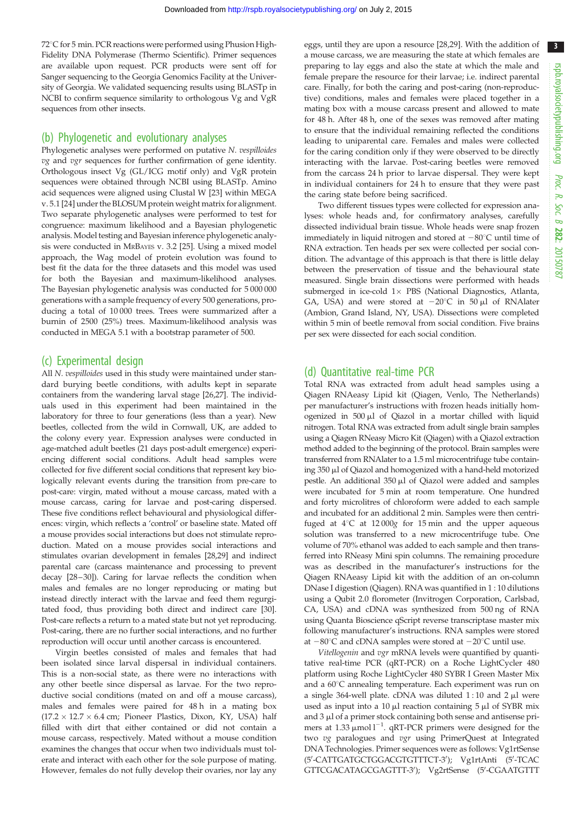72°C for 5 min. PCR reactions were performed using Phusion High-Fidelity DNA Polymerase (Thermo Scientific). Primer sequences are available upon request. PCR products were sent off for Sanger sequencing to the Georgia Genomics Facility at the University of Georgia. We validated sequencing results using BLASTp in NCBI to confirm sequence similarity to orthologous Vg and VgR sequences from other insects.

#### (b) Phylogenetic and evolutionary analyses

Phylogenetic analyses were performed on putative N. vespilloides vg and vgr sequences for further confirmation of gene identity. Orthologous insect Vg (GL/ICG motif only) and VgR protein sequences were obtained through NCBI using BLASTp. Amino acid sequences were aligned using Clustal W [[23](#page-8-0)] within MEGA v. 5.1 [[24](#page-8-0)] under the BLOSUM protein weight matrix for alignment. Two separate phylogenetic analyses were performed to test for congruence: maximum likelihood and a Bayesian phylogenetic analysis. Model testing and Bayesian inference phylogenetic analysis were conducted in MRBAYES v. 3.2 [[25](#page-8-0)]. Using a mixed model approach, the Wag model of protein evolution was found to best fit the data for the three datasets and this model was used for both the Bayesian and maximum-likelihood analyses. The Bayesian phylogenetic analysis was conducted for 5 000 000 generations with a sample frequency of every 500 generations, producing a total of 10 000 trees. Trees were summarized after a burnin of 2500 (25%) trees. Maximum-likelihood analysis was conducted in MEGA 5.1 with a bootstrap parameter of 500.

#### (c) Experimental design

All N. vespilloides used in this study were maintained under standard burying beetle conditions, with adults kept in separate containers from the wandering larval stage [\[26,27](#page-8-0)]. The individuals used in this experiment had been maintained in the laboratory for three to four generations (less than a year). New beetles, collected from the wild in Cornwall, UK, are added to the colony every year. Expression analyses were conducted in age-matched adult beetles (21 days post-adult emergence) experiencing different social conditions. Adult head samples were collected for five different social conditions that represent key biologically relevant events during the transition from pre-care to post-care: virgin, mated without a mouse carcass, mated with a mouse carcass, caring for larvae and post-caring dispersed. These five conditions reflect behavioural and physiological differences: virgin, which reflects a 'control' or baseline state. Mated off a mouse provides social interactions but does not stimulate reproduction. Mated on a mouse provides social interactions and stimulates ovarian development in females [\[28,29](#page-8-0)] and indirect parental care (carcass maintenance and processing to prevent decay [\[28](#page-8-0)–[30\]](#page-8-0)). Caring for larvae reflects the condition when males and females are no longer reproducing or mating but instead directly interact with the larvae and feed them regurgitated food, thus providing both direct and indirect care [\[30\]](#page-8-0). Post-care reflects a return to a mated state but not yet reproducing. Post-caring, there are no further social interactions, and no further reproduction will occur until another carcass is encountered.

Virgin beetles consisted of males and females that had been isolated since larval dispersal in individual containers. This is a non-social state, as there were no interactions with any other beetle since dispersal as larvae. For the two reproductive social conditions (mated on and off a mouse carcass), males and females were paired for 48 h in a mating box  $(17.2 \times 12.7 \times 6.4 \text{ cm}$ ; Pioneer Plastics, Dixon, KY, USA) half filled with dirt that either contained or did not contain a mouse carcass, respectively. Mated without a mouse condition examines the changes that occur when two individuals must tolerate and interact with each other for the sole purpose of mating. However, females do not fully develop their ovaries, nor lay any

eggs, until they are upon a resource [\[28,29](#page-8-0)]. With the addition of a mouse carcass, we are measuring the state at which females are preparing to lay eggs and also the state at which the male and female prepare the resource for their larvae; i.e. indirect parental care. Finally, for both the caring and post-caring (non-reproductive) conditions, males and females were placed together in a mating box with a mouse carcass present and allowed to mate for 48 h. After 48 h, one of the sexes was removed after mating to ensure that the individual remaining reflected the conditions leading to uniparental care. Females and males were collected for the caring condition only if they were observed to be directly interacting with the larvae. Post-caring beetles were removed from the carcass 24 h prior to larvae dispersal. They were kept in individual containers for 24 h to ensure that they were past the caring state before being sacrificed.

Two different tissues types were collected for expression analyses: whole heads and, for confirmatory analyses, carefully dissected individual brain tissue. Whole heads were snap frozen immediately in liquid nitrogen and stored at  $-80^{\circ}$ C until time of RNA extraction. Ten heads per sex were collected per social condition. The advantage of this approach is that there is little delay between the preservation of tissue and the behavioural state measured. Single brain dissections were performed with heads submerged in ice-cold  $1\times$  PBS (National Diagnostics, Atlanta, GA, USA) and were stored at  $-20^{\circ}$ C in 50 µl of RNAlater (Ambion, Grand Island, NY, USA). Dissections were completed within 5 min of beetle removal from social condition. Five brains per sex were dissected for each social condition.

#### (d) Quantitative real-time PCR

Total RNA was extracted from adult head samples using a Qiagen RNAeasy Lipid kit (Qiagen, Venlo, The Netherlands) per manufacturer's instructions with frozen heads initially homogenized in  $500 \mu l$  of Qiazol in a mortar chilled with liquid nitrogen. Total RNA was extracted from adult single brain samples using a Qiagen RNeasy Micro Kit (Qiagen) with a Qiazol extraction method added to the beginning of the protocol. Brain samples were transferred from RNAlater to a 1.5 ml microcentrifuge tube containing 350 ml of Qiazol and homogenized with a hand-held motorized pestle. An additional 350 µl of Qiazol were added and samples were incubated for 5 min at room temperature. One hundred and forty microlitres of chloroform were added to each sample and incubated for an additional 2 min. Samples were then centrifuged at  $4^{\circ}$ C at  $12\,000g$  for  $15 \text{ min}$  and the upper aqueous solution was transferred to a new microcentrifuge tube. One volume of 70% ethanol was added to each sample and then transferred into RNeasy Mini spin columns. The remaining procedure was as described in the manufacturer's instructions for the Qiagen RNAeasy Lipid kit with the addition of an on-column DNase I digestion (Qiagen). RNA was quantified in 1 : 10 dilutions using a Qubit 2.0 florometer (Invitrogen Corporation, Carlsbad, CA, USA) and cDNA was synthesized from 500 ng of RNA using Quanta Bioscience qScript reverse transcriptase master mix following manufacturer's instructions. RNA samples were stored at  $-80^{\circ}$ C and cDNA samples were stored at  $-20^{\circ}$ C until use.

Vitellogenin and vgr mRNA levels were quantified by quantitative real-time PCR (qRT-PCR) on a Roche LightCycler 480 platform using Roche LightCycler 480 SYBR I Green Master Mix and a  $60^{\circ}$ C annealing temperature. Each experiment was run on a single 364-well plate. cDNA was diluted  $1:10$  and  $2 \mu l$  were used as input into a 10  $\mu$ l reaction containing 5  $\mu$ l of SYBR mix and 3  $\mu$ l of a primer stock containing both sense and antisense primers at  $1.33 \mu$ mol  $l^{-1}$ . qRT-PCR primers were designed for the two vg paralogues and vgr using PrimerQuest at Integrated DNA Technologies. Primer sequences were as follows: Vg1rtSense (5'-CATTGATGCTGGACGTGTTTCT-3'); Vg1rtAnti (5'-TCAC GTTCGACATAGCGAGTTT-3'); Vg2rtSense (5'-CGAATGTTT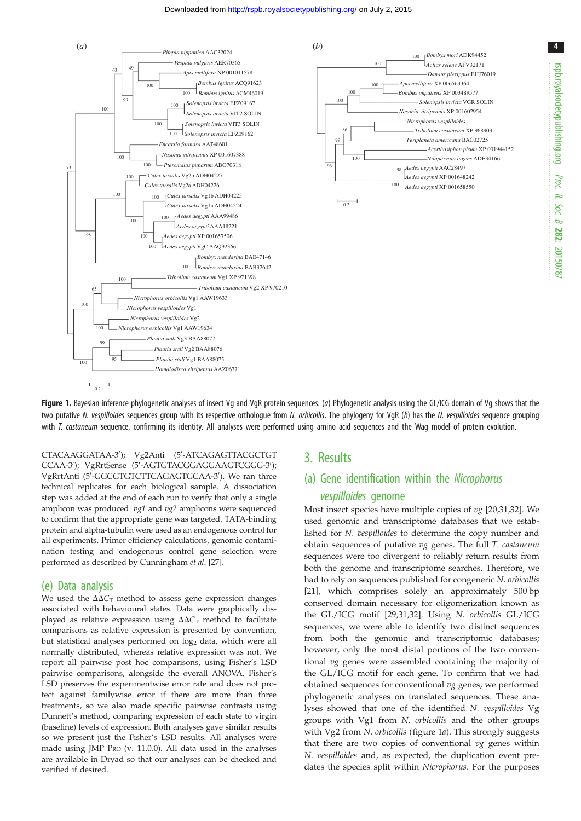<span id="page-3-0"></span>

Figure 1. Bayesian inference phylogenetic analyses of insect Vg and VgR protein sequences. (a) Phylogenetic analysis using the GL/ICG domain of Vg shows that the two putative N. vespilloides sequences group with its respective orthologue from N. orbicollis. The phylogeny for VgR (b) has the N. vespilloides sequence grouping with T. castaneum sequence, confirming its identity. All analyses were performed using amino acid sequences and the Wag model of protein evolution.

CTACAAGGATAA-3'); Vg2Anti (5'-ATCAGAGTTACGCTGT CCAA-3'); VgRrtSense (5'-AGTGTACGGAGGAAGTCGGG-3'); VgRrtAnti (5'-GGCGTGTCTTCAGAGTGCAA-3'). We ran three technical replicates for each biological sample. A dissociation step was added at the end of each run to verify that only a single amplicon was produced. vg1 and vg2 amplicons were sequenced to confirm that the appropriate gene was targeted. TATA-binding protein and alpha-tubulin were used as an endogenous control for all experiments. Primer efficiency calculations, genomic contamination testing and endogenous control gene selection were performed as described by Cunningham et al. [\[27\]](#page-8-0).

#### (e) Data analysis

We used the  $\Delta\Delta C_{\text{T}}$  method to assess gene expression changes associated with behavioural states. Data were graphically displayed as relative expression using  $\Delta\Delta C_T$  method to facilitate comparisons as relative expression is presented by convention, but statistical analyses performed on log<sub>2</sub> data, which were all normally distributed, whereas relative expression was not. We report all pairwise post hoc comparisons, using Fisher's LSD pairwise comparisons, alongside the overall ANOVA. Fisher's LSD preserves the experimentwise error rate and does not protect against familywise error if there are more than three treatments, so we also made specific pairwise contrasts using Dunnett's method, comparing expression of each state to virgin (baseline) levels of expression. Both analyses gave similar results so we present just the Fisher's LSD results. All analyses were made using JMP PRO (v. 11.0.0). All data used in the analyses are available in Dryad so that our analyses can be checked and verified if desired.

## 3. Results

# (a) Gene identification within the Nicrophorus vespilloides genome

Most insect species have multiple copies of  $v_g$  [\[20](#page-7-0),[31,32\]](#page-8-0). We used genomic and transcriptome databases that we established for N. vespilloides to determine the copy number and obtain sequences of putative  $vg$  genes. The full T. castaneum sequences were too divergent to reliably return results from both the genome and transcriptome searches. Therefore, we had to rely on sequences published for congeneric N. orbicollis [[21\]](#page-8-0), which comprises solely an approximately 500 bp conserved domain necessary for oligomerization known as the GL/ICG motif [\[29,31](#page-8-0),[32\]](#page-8-0). Using N. orbicollis GL/ICG sequences, we were able to identify two distinct sequences from both the genomic and transcriptomic databases; however, only the most distal portions of the two conventional vg genes were assembled containing the majority of the GL/ICG motif for each gene. To confirm that we had obtained sequences for conventional vg genes, we performed phylogenetic analyses on translated sequences. These analyses showed that one of the identified N. vespilloides Vg groups with Vg1 from N. orbicollis and the other groups with Vg2 from N. orbicollis (figure 1a). This strongly suggests that there are two copies of conventional  $v_g$  genes within N. vespilloides and, as expected, the duplication event predates the species split within Nicrophorus. For the purposes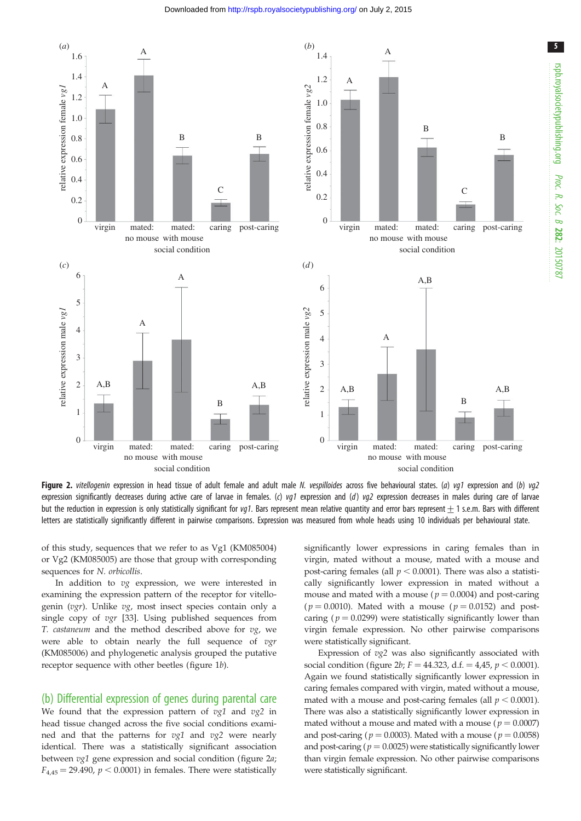<span id="page-4-0"></span>

Figure 2. vitellogenin expression in head tissue of adult female and adult male N. vespilloides across five behavioural states. (a) vg1 expression and (b) vg2 expression significantly decreases during active care of larvae in females. (c)  $vq1$  expression and (d)  $vq2$  expression decreases in males during care of larvae but the reduction in expression is only statistically significant for  $vq1$ . Bars represent mean relative quantity and error bars represent + 1 s.e.m. Bars with different letters are statistically significantly different in pairwise comparisons. Expression was measured from whole heads using 10 individuals per behavioural state.

of this study, sequences that we refer to as Vg1 (KM085004) or Vg2 (KM085005) are those that group with corresponding sequences for N. orbicollis.

In addition to vg expression, we were interested in examining the expression pattern of the receptor for vitellogenin (vgr). Unlike vg, most insect species contain only a single copy of vgr [\[33](#page-8-0)]. Using published sequences from T. castaneum and the method described above for  $v_g$ , we were able to obtain nearly the full sequence of  $vgr$ (KM085006) and phylogenetic analysis grouped the putative receptor sequence with other beetles ([figure 1](#page-3-0)b).

#### (b) Differential expression of genes during parental care

We found that the expression pattern of  $vg1$  and  $vg2$  in head tissue changed across the five social conditions examined and that the patterns for vg1 and vg2 were nearly identical. There was a statistically significant association between vg1 gene expression and social condition (figure 2a;  $F_{4,45} = 29.490$ ,  $p < 0.0001$ ) in females. There were statistically

significantly lower expressions in caring females than in virgin, mated without a mouse, mated with a mouse and post-caring females (all  $p < 0.0001$ ). There was also a statistically significantly lower expression in mated without a mouse and mated with a mouse ( $p = 0.0004$ ) and post-caring ( $p = 0.0010$ ). Mated with a mouse ( $p = 0.0152$ ) and postcaring ( $p = 0.0299$ ) were statistically significantly lower than virgin female expression. No other pairwise comparisons were statistically significant.

Expression of vg2 was also significantly associated with social condition (figure 2b;  $F = 44.323$ , d.f.  $= 4.45$ ,  $p < 0.0001$ ). Again we found statistically significantly lower expression in caring females compared with virgin, mated without a mouse, mated with a mouse and post-caring females (all  $p < 0.0001$ ). There was also a statistically significantly lower expression in mated without a mouse and mated with a mouse ( $p = 0.0007$ ) and post-caring ( $p = 0.0003$ ). Mated with a mouse ( $p = 0.0058$ ) and post-caring ( $p = 0.0025$ ) were statistically significantly lower than virgin female expression. No other pairwise comparisons were statistically significant.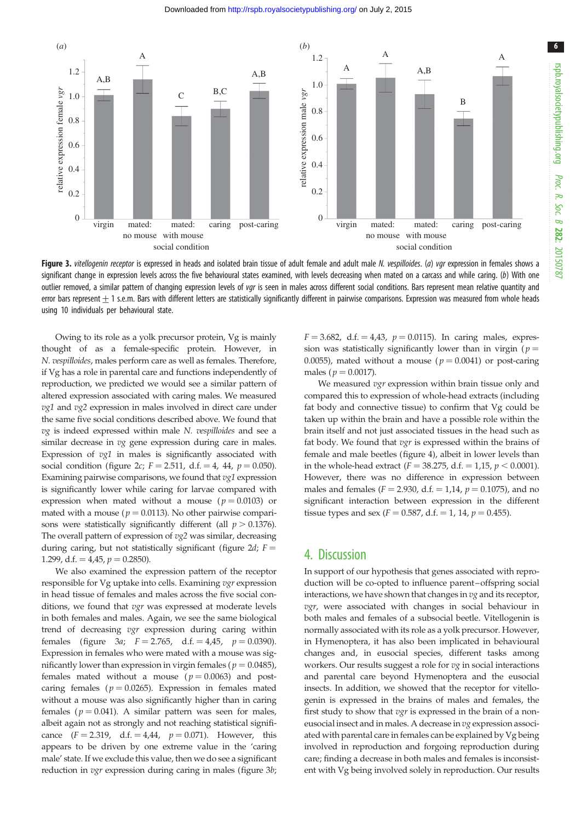<span id="page-5-0"></span>

Figure 3. vitellogenin receptor is expressed in heads and isolated brain tissue of adult female and adult male N. vespilloides. (a) vgr expression in females shows a significant change in expression levels across the five behavioural states examined, with levels decreasing when mated on a carcass and while caring. (b) With one outlier removed, a similar pattern of changing expression levels of var is seen in males across different social conditions. Bars represent mean relative quantity and error bars represent  $\pm$  1 s.e.m. Bars with different letters are statistically significantly different in pairwise comparisons. Expression was measured from whole heads using 10 individuals per behavioural state.

Owing to its role as a yolk precursor protein, Vg is mainly thought of as a female-specific protein. However, in N. vespilloides, males perform care as well as females. Therefore, if Vg has a role in parental care and functions independently of reproduction, we predicted we would see a similar pattern of altered expression associated with caring males. We measured vg1 and vg2 expression in males involved in direct care under the same five social conditions described above. We found that vg is indeed expressed within male N. vespilloides and see a similar decrease in  $v$ g gene expression during care in males. Expression of  $vg1$  in males is significantly associated with social condition [\(figure 2](#page-4-0)c;  $F = 2.511$ , d.f.  $= 4$ , 44,  $p = 0.050$ ). Examining pairwise comparisons, we found that  $vgl$  expression is significantly lower while caring for larvae compared with expression when mated without a mouse ( $p = 0.0103$ ) or mated with a mouse ( $p = 0.0113$ ). No other pairwise comparisons were statistically significantly different (all  $p > 0.1376$ ). The overall pattern of expression of  $vg2$  was similar, decreasing during caring, but not statistically significant (figure  $2d$ ;  $F =$ 1.299, d.f. =  $4,45$ ,  $p = 0.2850$ ).

We also examined the expression pattern of the receptor responsible for Vg uptake into cells. Examining vgr expression in head tissue of females and males across the five social conditions, we found that vgr was expressed at moderate levels in both females and males. Again, we see the same biological trend of decreasing vgr expression during caring within females (figure 3*a*;  $F = 2.765$ , d.f.  $= 4.45$ ,  $p = 0.0390$ ). Expression in females who were mated with a mouse was significantly lower than expression in virgin females ( $p = 0.0485$ ), females mated without a mouse ( $p = 0.0063$ ) and postcaring females ( $p = 0.0265$ ). Expression in females mated without a mouse was also significantly higher than in caring females ( $p = 0.041$ ). A similar pattern was seen for males, albeit again not as strongly and not reaching statistical significance  $(F = 2.319, d.f. = 4.44, p = 0.071)$ . However, this appears to be driven by one extreme value in the 'caring male' state. If we exclude this value, then we do see a significant reduction in vgr expression during caring in males (figure 3b;

 $F = 3.682$ , d.f.  $= 4.43$ ,  $p = 0.0115$ ). In caring males, expression was statistically significantly lower than in virgin ( $p =$ 0.0055), mated without a mouse ( $p = 0.0041$ ) or post-caring males ( $p = 0.0017$ ).

We measured  $vgr$  expression within brain tissue only and compared this to expression of whole-head extracts (including fat body and connective tissue) to confirm that Vg could be taken up within the brain and have a possible role within the brain itself and not just associated tissues in the head such as fat body. We found that  $vgr$  is expressed within the brains of female and male beetles [\(figure 4](#page-6-0)), albeit in lower levels than in the whole-head extract ( $F = 38.275$ , d.f. = 1,15,  $p < 0.0001$ ). However, there was no difference in expression between males and females ( $F = 2.930$ , d.f.  $= 1.14$ ,  $p = 0.1075$ ), and no significant interaction between expression in the different tissue types and sex ( $F = 0.587$ , d.f. = 1, 14,  $p = 0.455$ ).

# 4. Discussion

In support of our hypothesis that genes associated with reproduction will be co-opted to influence parent –offspring social interactions, we have shown that changes in  $v\tilde{g}$  and its receptor, vgr, were associated with changes in social behaviour in both males and females of a subsocial beetle. Vitellogenin is normally associated with its role as a yolk precursor. However, in Hymenoptera, it has also been implicated in behavioural changes and, in eusocial species, different tasks among workers. Our results suggest a role for vg in social interactions and parental care beyond Hymenoptera and the eusocial insects. In addition, we showed that the receptor for vitellogenin is expressed in the brains of males and females, the first study to show that  $vgr$  is expressed in the brain of a noneusocial insect and in males. A decrease in vg expression associated with parental care in females can be explained by Vg being involved in reproduction and forgoing reproduction during care; finding a decrease in both males and females is inconsistent with Vg being involved solely in reproduction. Our results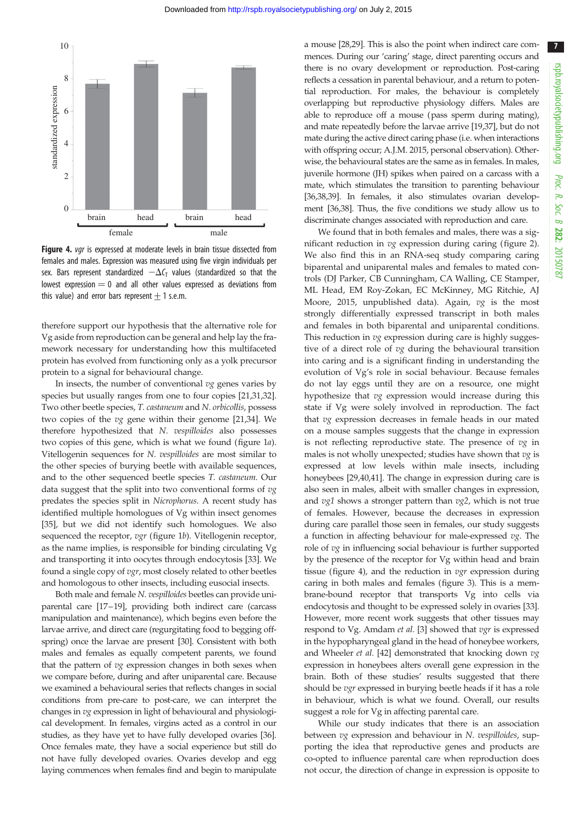<span id="page-6-0"></span>

Figure 4. vgr is expressed at moderate levels in brain tissue dissected from females and males. Expression was measured using five virgin individuals per sex. Bars represent standardized  $-\Delta\zeta$  values (standardized so that the lowest expression  $= 0$  and all other values expressed as deviations from this value) and error bars represent  $\pm$  1 s.e.m.

therefore support our hypothesis that the alternative role for Vg aside from reproduction can be general and help lay the framework necessary for understanding how this multifaceted protein has evolved from functioning only as a yolk precursor protein to a signal for behavioural change.

In insects, the number of conventional  $v<sub>g</sub>$  genes varies by species but usually ranges from one to four copies [\[21,31,32](#page-8-0)]. Two other beetle species, T. castaneum and N. orbicollis, possess two copies of the vg gene within their genome [[21,34\]](#page-8-0). We therefore hypothesized that N. vespilloides also possesses two copies of this gene, which is what we found [\(figure 1](#page-3-0)a). Vitellogenin sequences for N. vespilloides are most similar to the other species of burying beetle with available sequences, and to the other sequenced beetle species T. castaneum. Our data suggest that the split into two conventional forms of  $v\mathfrak{g}$ predates the species split in Nicrophorus. A recent study has identified multiple homologues of Vg within insect genomes [\[35](#page-8-0)], but we did not identify such homologues. We also sequenced the receptor, vgr [\(figure 1](#page-3-0)b). Vitellogenin receptor, as the name implies, is responsible for binding circulating Vg and transporting it into oocytes through endocytosis [\[33](#page-8-0)]. We found a single copy of vgr, most closely related to other beetles and homologous to other insects, including eusocial insects.

Both male and female N. vespilloides beetles can provide uniparental care [[17](#page-7-0)–[19](#page-7-0)], providing both indirect care (carcass manipulation and maintenance), which begins even before the larvae arrive, and direct care (regurgitating food to begging offspring) once the larvae are present [\[30\]](#page-8-0). Consistent with both males and females as equally competent parents, we found that the pattern of vg expression changes in both sexes when we compare before, during and after uniparental care. Because we examined a behavioural series that reflects changes in social conditions from pre-care to post-care, we can interpret the changes in vg expression in light of behavioural and physiological development. In females, virgins acted as a control in our studies, as they have yet to have fully developed ovaries [[36](#page-8-0)]. Once females mate, they have a social experience but still do not have fully developed ovaries. Ovaries develop and egg laying commences when females find and begin to manipulate

a mouse [[28](#page-8-0),[29](#page-8-0)]. This is also the point when indirect care commences. During our 'caring' stage, direct parenting occurs and there is no ovary development or reproduction. Post-caring reflects a cessation in parental behaviour, and a return to potential reproduction. For males, the behaviour is completely overlapping but reproductive physiology differs. Males are able to reproduce off a mouse (pass sperm during mating), and mate repeatedly before the larvae arrive [[19](#page-7-0),[37](#page-8-0)], but do not mate during the active direct caring phase (i.e. when interactions with offspring occur; A.J.M. 2015, personal observation). Otherwise, the behavioural states are the same as in females. In males, juvenile hormone (JH) spikes when paired on a carcass with a mate, which stimulates the transition to parenting behaviour [[36,38,39\]](#page-8-0). In females, it also stimulates ovarian development [\[36,38\]](#page-8-0). Thus, the five conditions we study allow us to discriminate changes associated with reproduction and care.

We found that in both females and males, there was a significant reduction in vg expression during caring ([figure 2\)](#page-4-0). We also find this in an RNA-seq study comparing caring biparental and uniparental males and females to mated controls (DJ Parker, CB Cunningham, CA Walling, CE Stamper, ML Head, EM Roy-Zokan, EC McKinney, MG Ritchie, AJ Moore, 2015, unpublished data). Again, vg is the most strongly differentially expressed transcript in both males and females in both biparental and uniparental conditions. This reduction in  $v\mathfrak{g}$  expression during care is highly suggestive of a direct role of  $v_{\mathcal{R}}$  during the behavioural transition into caring and is a significant finding in understanding the evolution of Vg's role in social behaviour. Because females do not lay eggs until they are on a resource, one might hypothesize that vg expression would increase during this state if Vg were solely involved in reproduction. The fact that vg expression decreases in female heads in our mated on a mouse samples suggests that the change in expression is not reflecting reproductive state. The presence of  $v_g$  in males is not wholly unexpected; studies have shown that  $v\mathfrak{g}$  is expressed at low levels within male insects, including honeybees [\[29,40,41\]](#page-8-0). The change in expression during care is also seen in males, albeit with smaller changes in expression, and  $vg1$  shows a stronger pattern than  $vg2$ , which is not true of females. However, because the decreases in expression during care parallel those seen in females, our study suggests a function in affecting behaviour for male-expressed  $v$ g. The role of vg in influencing social behaviour is further supported by the presence of the receptor for Vg within head and brain tissue (figure 4), and the reduction in  $vgr$  expression during caring in both males and females [\(figure 3\)](#page-5-0). This is a membrane-bound receptor that transports Vg into cells via endocytosis and thought to be expressed solely in ovaries [[33\]](#page-8-0). However, more recent work suggests that other tissues may respond to Vg. Amdam et al. [\[3\]](#page-7-0) showed that vgr is expressed in the hypopharyngeal gland in the head of honeybee workers, and Wheeler et al. [\[42](#page-8-0)] demonstrated that knocking down vg expression in honeybees alters overall gene expression in the brain. Both of these studies' results suggested that there should be vgr expressed in burying beetle heads if it has a role in behaviour, which is what we found. Overall, our results suggest a role for Vg in affecting parental care.

While our study indicates that there is an association between vg expression and behaviour in N. vespilloides, supporting the idea that reproductive genes and products are co-opted to influence parental care when reproduction does not occur, the direction of change in expression is opposite to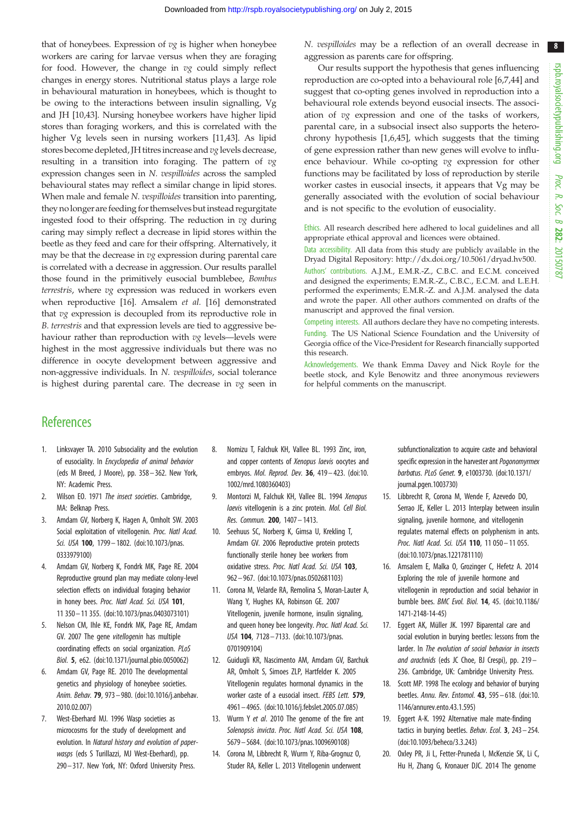<span id="page-7-0"></span>that of honeybees. Expression of  $v$ g is higher when honeybee workers are caring for larvae versus when they are foraging for food. However, the change in  $v_{\mathcal{R}}$  could simply reflect changes in energy stores. Nutritional status plays a large role in behavioural maturation in honeybees, which is thought to be owing to the interactions between insulin signalling, Vg and JH [10[,43\]](#page-8-0). Nursing honeybee workers have higher lipid stores than foraging workers, and this is correlated with the higher Vg levels seen in nursing workers [11[,43\]](#page-8-0). As lipid stores become depleted, JH titres increase and  $v$ g levels decrease, resulting in a transition into foraging. The pattern of  $v\mathfrak{g}$ expression changes seen in N. vespilloides across the sampled behavioural states may reflect a similar change in lipid stores. When male and female N. vespilloides transition into parenting, they no longer are feeding for themselves but instead regurgitate ingested food to their offspring. The reduction in  $v\mathfrak{g}$  during caring may simply reflect a decrease in lipid stores within the beetle as they feed and care for their offspring. Alternatively, it may be that the decrease in  $vg$  expression during parental care is correlated with a decrease in aggression. Our results parallel those found in the primitively eusocial bumblebee, Bombus terrestris, where vg expression was reduced in workers even when reproductive [16]. Amsalem et al. [16] demonstrated that vg expression is decoupled from its reproductive role in B. terrestris and that expression levels are tied to aggressive behaviour rather than reproduction with  $v\mathfrak{g}$  levels—levels were highest in the most aggressive individuals but there was no difference in oocyte development between aggressive and non-aggressive individuals. In N. vespilloides, social tolerance is highest during parental care. The decrease in  $vg$  seen in N. vespilloides may be a reflection of an overall decrease in aggression as parents care for offspring.

Our results support the hypothesis that genes influencing reproduction are co-opted into a behavioural role [6,7,[44](#page-8-0)] and suggest that co-opting genes involved in reproduction into a behavioural role extends beyond eusocial insects. The association of vg expression and one of the tasks of workers, parental care, in a subsocial insect also supports the heterochrony hypothesis [1,6,[45\]](#page-8-0), which suggests that the timing of gene expression rather than new genes will evolve to influence behaviour. While co-opting vg expression for other functions may be facilitated by loss of reproduction by sterile worker castes in eusocial insects, it appears that Vg may be generally associated with the evolution of social behaviour and is not specific to the evolution of eusociality.

Ethics. All research described here adhered to local guidelines and all appropriate ethical approval and licences were obtained.

Data accessibility. All data from this study are publicly available in the Dryad Digital Repository:<http://dx.doi.org/10.5061/dryad.hv500>. Authors' contributions. A.J.M., E.M.R.-Z., C.B.C. and E.C.M. conceived and designed the experiments; E.M.R.-Z., C.B.C., E.C.M. and L.E.H. performed the experiments; E.M.R.-Z. and A.J.M. analysed the data and wrote the paper. All other authors commented on drafts of the manuscript and approved the final version.

Competing interests. All authors declare they have no competing interests. Funding. The US National Science Foundation and the University of Georgia office of the Vice-President for Research financially supported this research.

Acknowledgements. We thank Emma Davey and Nick Royle for the beetle stock, and Kyle Benowitz and three anonymous reviewers for helpful comments on the manuscript.

# **References**

- 1. Linksvayer TA. 2010 Subsociality and the evolution of eusociality. In Encyclopedia of animal behavior (eds M Breed, J Moore), pp. 358– 362. New York, NY: Academic Press.
- 2. Wilson EO. 1971 The insect societies. Cambridge, MA: Belknap Press.
- 3. Amdam GV, Norberg K, Hagen A, Omholt SW. 2003 Social exploitation of vitellogenin. Proc. Natl Acad. Sci. USA 100, 1799-1802. ([doi:10.1073/pnas.](http://dx.doi.org/10.1073/pnas.0333979100) [0333979100\)](http://dx.doi.org/10.1073/pnas.0333979100)
- 4. Amdam GV, Norberg K, Fondrk MK, Page RE. 2004 Reproductive ground plan may mediate colony-level selection effects on individual foraging behavior in honey bees. Proc. Natl Acad. Sci. USA 101, 11 350– 11 355. ([doi:10.1073/pnas.0403073101](http://dx.doi.org/10.1073/pnas.0403073101))
- 5. Nelson CM, Ihle KE, Fondrk MK, Page RE, Amdam GV. 2007 The gene vitellogenin has multiple coordinating effects on social organization. PLoS Biol. 5, e62. [\(doi:10.1371/journal.pbio.0050062](http://dx.doi.org/10.1371/journal.pbio.0050062))
- 6. Amdam GV, Page RE. 2010 The developmental genetics and physiology of honeybee societies. Anim. Behav. 79, 973– 980. [\(doi:10.1016/j.anbehav.](http://dx.doi.org/10.1016/j.anbehav.2010.02.007) [2010.02.007\)](http://dx.doi.org/10.1016/j.anbehav.2010.02.007)
- 7. West-Eberhard MJ. 1996 Wasp societies as microcosms for the study of development and evolution. In Natural history and evolution of paperwasps (eds S Turillazzi, MJ West-Eberhard), pp. 290– 317. New York, NY: Oxford University Press.
- 8. Nomizu T, Falchuk KH, Vallee BL. 1993 Zinc, iron, and copper contents of Xenopus laevis oocytes and embryos. Mol. Reprod. Dev. 36, 419– 423. ([doi:10.](http://dx.doi.org/10.1002/mrd.1080360403) [1002/mrd.1080360403](http://dx.doi.org/10.1002/mrd.1080360403))
- 9. Montorzi M, Falchuk KH, Vallee BL. 1994 Xenopus laevis vitellogenin is a zinc protein. Mol. Cell Biol. Res. Commun. 200, 1407– 1413.
- 10. Seehuus SC, Norberg K, Gimsa U, Krekling T, Amdam GV. 2006 Reproductive protein protects functionally sterile honey bee workers from oxidative stress. Proc. Natl Acad. Sci. USA 103, 962 – 967. [\(doi:10.1073/pnas.0502681103](http://dx.doi.org/10.1073/pnas.0502681103))
- 11. Corona M, Velarde RA, Remolina S, Moran-Lauter A, Wang Y, Hughes KA, Robinson GE. 2007 Vitellogenin, juvenile hormone, insulin signaling, and queen honey bee longevity. Proc. Natl Acad. Sci. USA 104, 7128– 7133. ([doi:10.1073/pnas.](http://dx.doi.org/10.1073/pnas.0701909104) [0701909104\)](http://dx.doi.org/10.1073/pnas.0701909104)
- 12. Guidugli KR, Nascimento AM, Amdam GV, Barchuk AR, Omholt S, Simoes ZLP, Hartfelder K. 2005 Vitellogenin regulates hormonal dynamics in the worker caste of a eusocial insect. FEBS Lett. 579, 4961 – 4965. [\(doi:10.1016/j.febslet.2005.07.085\)](http://dx.doi.org/10.1016/j.febslet.2005.07.085)
- 13. Wurm Y et al. 2010 The genome of the fire ant Solenopsis invicta. Proc. Natl Acad. Sci. USA 108, 5679– 5684. [\(doi:10.1073/pnas.1009690108\)](http://dx.doi.org/10.1073/pnas.1009690108)
- 14. Corona M, Libbrecht R, Wurm Y, Riba-Grognuz O, Studer RA, Keller L. 2013 Vitellogenin underwent

subfunctionalization to acquire caste and behavioral specific expression in the harvester ant Pogonomyrmex barbatus. PLoS Genet. 9, e1003730. [\(doi:10.1371/](http://dx.doi.org/10.1371/journal.pgen.1003730) [journal.pgen.1003730\)](http://dx.doi.org/10.1371/journal.pgen.1003730)

- 15. Libbrecht R, Corona M, Wende F, Azevedo DO, Serrao JE, Keller L. 2013 Interplay between insulin signaling, juvenile hormone, and vitellogenin regulates maternal effects on polyphenism in ants. Proc. Natl Acad. Sci. USA 110, 11 050– 11 055. ([doi:10.1073/pnas.1221781110\)](http://dx.doi.org/10.1073/pnas.1221781110)
- 16. Amsalem E, Malka O, Grozinger C, Hefetz A. 2014 Exploring the role of juvenile hormone and vitellogenin in reproduction and social behavior in bumble bees. BMC Evol. Biol. 14, 45. [\(doi:10.1186/](http://dx.doi.org/10.1186/1471-2148-14-45) [1471-2148-14-45](http://dx.doi.org/10.1186/1471-2148-14-45))
- 17. Eggert AK, Müller JK. 1997 Biparental care and social evolution in burying beetles: lessons from the larder. In The evolution of social behavior in insects and arachnids (eds JC Choe, BJ Crespi), pp. 219– 236. Cambridge, UK: Cambridge University Press.
- 18. Scott MP. 1998 The ecology and behavior of burying beetles. Annu. Rev. Entomol. 43, 595 – 618. [\(doi:10.](http://dx.doi.org/10.1146/annurev.ento.43.1.595) [1146/annurev.ento.43.1.595](http://dx.doi.org/10.1146/annurev.ento.43.1.595))
- 19. Eggert A-K. 1992 Alternative male mate-finding tactics in burying beetles. Behav. Ecol. 3, 243 – 254. ([doi:10.1093/beheco/3.3.243\)](http://dx.doi.org/10.1093/beheco/3.3.243)
- 20. Oxley PR, Ji L, Fetter-Pruneda I, McKenzie SK, Li C, Hu H, Zhang G, Kronauer DJC. 2014 The genome